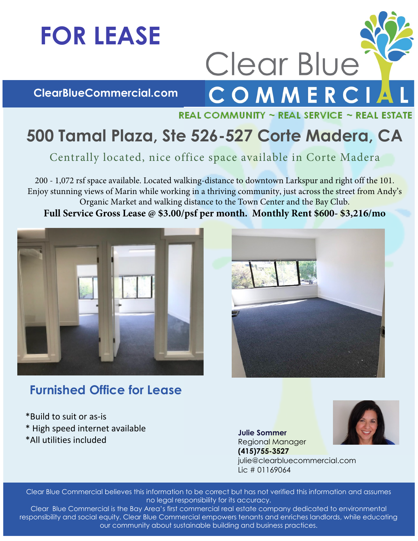## **FOR LEASE**

**ClearBlueCommercial.com** 



Clear Blue

## **500 Tamal Plaza, Ste 526-527 Corte Madera, CA**

Centrally located, nice office space available in Corte Madera

200 - 1,072 rsf space available. Located walking-distance to downtown Larkspur and right off the 101. Enjoy stunning views of Marin while working in a thriving community, just across the street from Andy's Organic Market and walking distance to the Town Center and the Bay Club. **Full Service Gross Lease @ \$3.00/psf per month. Monthly Rent \$600- \$3,216/mo**





## **Furnished Office for Lease**

\*Build to suit or as-is \* High speed internet available \*All utilities included

**Julie Sommer**  Regional Manager **(415)755-3527** julie@clearbluecommercial.com Lic # 01169064

Clear Blue Commercial believes this information to be correct but has not verified this information and assumes no legal responsibility for its accuracy.

Clear Blue Commercial is the Bay Area's first commercial real estate company dedicated to environmental responsibility and social equity. Clear Blue Commercial empowers tenants and enriches landlords, while educating our community about sustainable building and business practices.